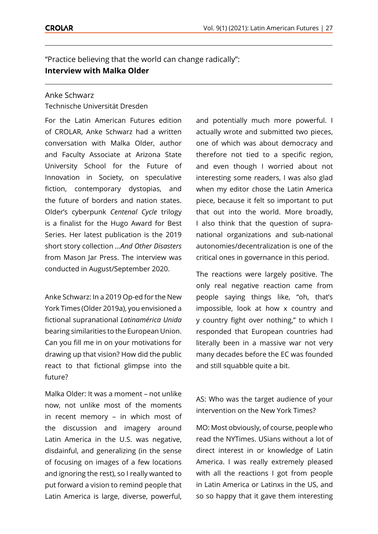"Practice believing that the world can change radically": **Interview with Malka Older**

## Anke Schwarz

Technische Universität Dresden

For the Latin American Futures edition of CROLAR, Anke Schwarz had a written conversation with Malka Older, author and Faculty Associate at Arizona State University School for the Future of Innovation in Society, on speculative fiction, contemporary dystopias, and the future of borders and nation states. Older's cyberpunk *Centenal Cycle* trilogy is a finalist for the Hugo Award for Best Series. Her latest publication is the 2019 short story collection *…And Other Disasters* from Mason Jar Press. The interview was conducted in August/September 2020.

Anke Schwarz: In a 2019 Op-ed for the New York Times (Older 2019a), you envisioned a fictional supranational *Latinamérica Unida* bearing similarities to the European Union. Can you fill me in on your motivations for drawing up that vision? How did the public react to that fictional glimpse into the future?

Malka Older: It was a moment – not unlike now, not unlike most of the moments in recent memory – in which most of the discussion and imagery around Latin America in the U.S. was negative, disdainful, and generalizing (in the sense of focusing on images of a few locations and ignoring the rest), so I really wanted to put forward a vision to remind people that Latin America is large, diverse, powerful,

and potentially much more powerful. I actually wrote and submitted two pieces, one of which was about democracy and therefore not tied to a specific region, and even though I worried about not interesting some readers, I was also glad when my editor chose the Latin America piece, because it felt so important to put that out into the world. More broadly, I also think that the question of supranational organizations and sub-national autonomies/decentralization is one of the critical ones in governance in this period.

The reactions were largely positive. The only real negative reaction came from people saying things like, "oh, that's impossible, look at how x country and y country fight over nothing," to which I responded that European countries had literally been in a massive war not very many decades before the EC was founded and still squabble quite a bit.

AS: Who was the target audience of your intervention on the New York Times?

MO: Most obviously, of course, people who read the NYTimes. USians without a lot of direct interest in or knowledge of Latin America. I was really extremely pleased with all the reactions I got from people in Latin America or Latinxs in the US, and so so happy that it gave them interesting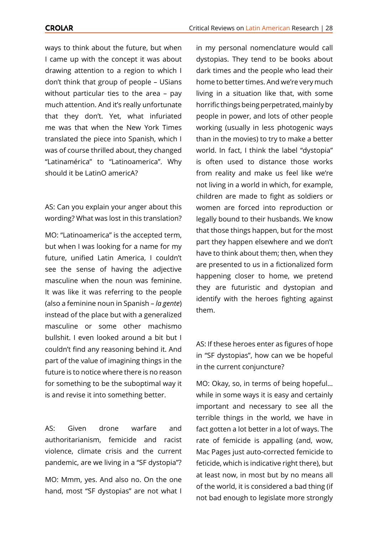ways to think about the future, but when I came up with the concept it was about drawing attention to a region to which I don't think that group of people – USians without particular ties to the area – pay much attention. And it's really unfortunate that they don't. Yet, what infuriated me was that when the New York Times translated the piece into Spanish, which I was of course thrilled about, they changed "Latinamérica" to "Latinoamerica". Why should it be LatinO americA?

AS: Can you explain your anger about this wording? What was lost in this translation?

MO: "Latinoamerica" is the accepted term, but when I was looking for a name for my future, unified Latin America, I couldn't see the sense of having the adjective masculine when the noun was feminine. It was like it was referring to the people (also a feminine noun in Spanish – *la gente*) instead of the place but with a generalized masculine or some other machismo bullshit. I even looked around a bit but I couldn't find any reasoning behind it. And part of the value of imagining things in the future is to notice where there is no reason for something to be the suboptimal way it is and revise it into something better.

AS: Given drone warfare and authoritarianism, femicide and racist violence, climate crisis and the current pandemic, are we living in a "SF dystopia"?

MO: Mmm, yes. And also no. On the one hand, most "SF dystopias" are not what I

in my personal nomenclature would call dystopias. They tend to be books about dark times and the people who lead their home to better times. And we're very much living in a situation like that, with some horrific things being perpetrated, mainly by people in power, and lots of other people working (usually in less photogenic ways than in the movies) to try to make a better world. In fact, I think the label "dystopia" is often used to distance those works from reality and make us feel like we're not living in a world in which, for example, children are made to fight as soldiers or women are forced into reproduction or legally bound to their husbands. We know that those things happen, but for the most part they happen elsewhere and we don't have to think about them; then, when they are presented to us in a fictionalized form happening closer to home, we pretend they are futuristic and dystopian and identify with the heroes fighting against them.

AS: If these heroes enter as figures of hope in "SF dystopias", how can we be hopeful in the current conjuncture?

MO: Okay, so, in terms of being hopeful… while in some ways it is easy and certainly important and necessary to see all the terrible things in the world, we have in fact gotten a lot better in a lot of ways. The rate of femicide is appalling (and, wow, Mac Pages just auto-corrected femicide to feticide, which is indicative right there), but at least now, in most but by no means all of the world, it is considered a bad thing (if not bad enough to legislate more strongly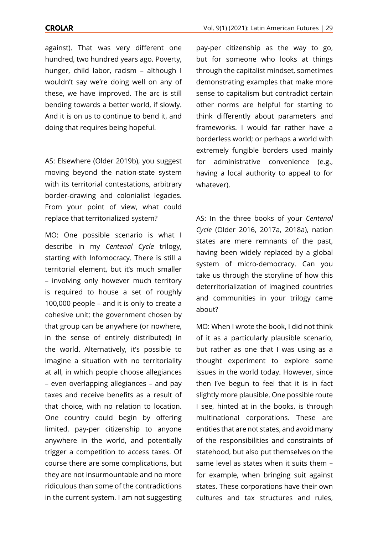## **CROLAR**

against). That was very different one hundred, two hundred years ago. Poverty, hunger, child labor, racism – although I wouldn't say we're doing well on any of these, we have improved. The arc is still bending towards a better world, if slowly. And it is on us to continue to bend it, and doing that requires being hopeful.

AS: Elsewhere (Older 2019b), you suggest moving beyond the nation-state system with its territorial contestations, arbitrary border-drawing and colonialist legacies. From your point of view, what could replace that territorialized system?

MO: One possible scenario is what I describe in my *Centenal Cycle* trilogy, starting with Infomocracy. There is still a territorial element, but it's much smaller – involving only however much territory is required to house a set of roughly 100,000 people – and it is only to create a cohesive unit; the government chosen by that group can be anywhere (or nowhere, in the sense of entirely distributed) in the world. Alternatively, it's possible to imagine a situation with no territoriality at all, in which people choose allegiances – even overlapping allegiances – and pay taxes and receive benefits as a result of that choice, with no relation to location. One country could begin by offering limited, pay-per citizenship to anyone anywhere in the world, and potentially trigger a competition to access taxes. Of course there are some complications, but they are not insurmountable and no more ridiculous than some of the contradictions in the current system. I am not suggesting

pay-per citizenship as the way to go, but for someone who looks at things through the capitalist mindset, sometimes demonstrating examples that make more sense to capitalism but contradict certain other norms are helpful for starting to think differently about parameters and frameworks. I would far rather have a borderless world; or perhaps a world with extremely fungible borders used mainly for administrative convenience (e.g., having a local authority to appeal to for whatever).

AS: In the three books of your *Centenal Cycle* (Older 2016, 2017a, 2018a), nation states are mere remnants of the past, having been widely replaced by a global system of micro-democracy. Can you take us through the storyline of how this deterritorialization of imagined countries and communities in your trilogy came about?

MO: When I wrote the book, I did not think of it as a particularly plausible scenario, but rather as one that I was using as a thought experiment to explore some issues in the world today. However, since then I've begun to feel that it is in fact slightly more plausible. One possible route I see, hinted at in the books, is through multinational corporations. These are entities that are not states, and avoid many of the responsibilities and constraints of statehood, but also put themselves on the same level as states when it suits them – for example, when bringing suit against states. These corporations have their own cultures and tax structures and rules,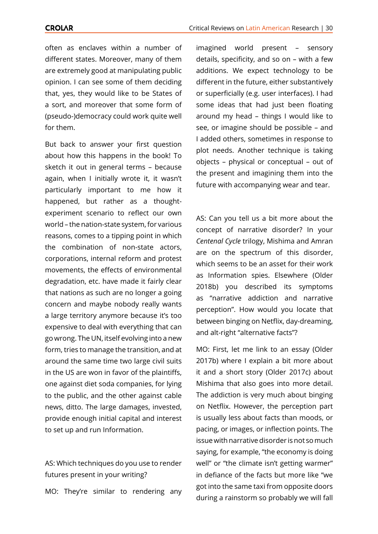often as enclaves within a number of different states. Moreover, many of them are extremely good at manipulating public opinion. I can see some of them deciding that, yes, they would like to be States of a sort, and moreover that some form of (pseudo-)democracy could work quite well for them.

But back to answer your first question about how this happens in the book! To sketch it out in general terms – because again, when I initially wrote it, it wasn't particularly important to me how it happened, but rather as a thoughtexperiment scenario to reflect our own world – the nation-state system, for various reasons, comes to a tipping point in which the combination of non-state actors, corporations, internal reform and protest movements, the effects of environmental degradation, etc. have made it fairly clear that nations as such are no longer a going concern and maybe nobody really wants a large territory anymore because it's too expensive to deal with everything that can go wrong. The UN, itself evolving into a new form, tries to manage the transition, and at around the same time two large civil suits in the US are won in favor of the plaintiffs, one against diet soda companies, for lying to the public, and the other against cable news, ditto. The large damages, invested, provide enough initial capital and interest to set up and run Information.

AS: Which techniques do you use to render futures present in your writing?

MO: They're similar to rendering any

imagined world present – sensory details, specificity, and so on – with a few additions. We expect technology to be different in the future, either substantively or superficially (e.g. user interfaces). I had some ideas that had just been floating around my head – things I would like to see, or imagine should be possible – and I added others, sometimes in response to plot needs. Another technique is taking objects – physical or conceptual – out of the present and imagining them into the future with accompanying wear and tear.

AS: Can you tell us a bit more about the concept of narrative disorder? In your *Centenal Cycle* trilogy, Mishima and Amran are on the spectrum of this disorder, which seems to be an asset for their work as Information spies. Elsewhere (Older 2018b) you described its symptoms as "narrative addiction and narrative perception". How would you locate that between binging on Netflix, day-dreaming, and alt-right "alternative facts"?

MO: First, let me link to an essay (Older 2017b) where I explain a bit more about it and a short story (Older 2017c) about Mishima that also goes into more detail. The addiction is very much about binging on Netflix. However, the perception part is usually less about facts than moods, or pacing, or images, or inflection points. The issue with narrative disorder is not so much saying, for example, "the economy is doing well" or "the climate isn't getting warmer" in defiance of the facts but more like "we got into the same taxi from opposite doors during a rainstorm so probably we will fall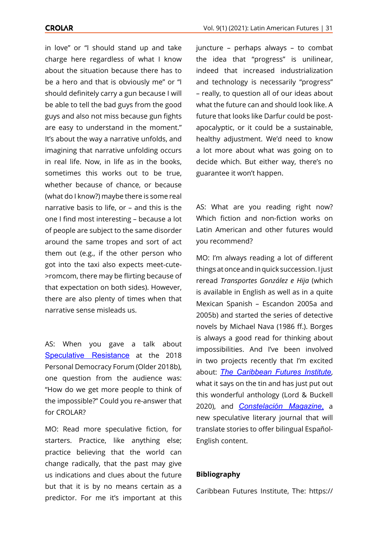in love" or "I should stand up and take charge here regardless of what I know about the situation because there has to be a hero and that is obviously me" or "I should definitely carry a gun because I will be able to tell the bad guys from the good guys and also not miss because gun fights are easy to understand in the moment." It's about the way a narrative unfolds, and imagining that narrative unfolding occurs in real life. Now, in life as in the books, sometimes this works out to be true, whether because of chance, or because (what do I know?) maybe there is some real narrative basis to life, or – and this is the one I find most interesting – because a lot of people are subject to the same disorder around the same tropes and sort of act them out (e.g., if the other person who got into the taxi also expects meet-cute- >romcom, there may be flirting because of that expectation on both sides). However, there are also plenty of times when that narrative sense misleads us.

AS: When you gave a talk about [Speculative Resistance](https://www.youtube.com/watch?v=yC8hyksvKOc&feature=youtu.be) at the 2018 Personal Democracy Forum (Older 2018b), one question from the audience was: "How do we get more people to think of the impossible?" Could you re-answer that for CROLAR?

MO: Read more speculative fiction, for starters. Practice, like anything else; practice believing that the world can change radically, that the past may give us indications and clues about the future but that it is by no means certain as a predictor. For me it's important at this juncture – perhaps always – to combat the idea that "progress" is unilinear, indeed that increased industrialization and technology is necessarily "progress" – really, to question all of our ideas about what the future can and should look like. A future that looks like Darfur could be postapocalyptic, or it could be a sustainable, healthy adjustment. We'd need to know a lot more about what was going on to decide which. But either way, there's no guarantee it won't happen.

AS: What are you reading right now? Which fiction and non-fiction works on Latin American and other futures would you recommend?

MO: I'm always reading a lot of different things at once and in quick succession. I just reread *Transportes González e Hija* (which is available in English as well as in a quite Mexican Spanish – Escandon 2005a and 2005b) and started the series of detective novels by Michael Nava (1986 ff.). Borges is always a good read for thinking about impossibilities. And I've been involved in two projects recently that I'm excited about: *[The Caribbean Futures Institute](https://caribbeanfuturesinstitute.com)*, what it says on the tin and has just put out this wonderful anthology (Lord & Buckell 2020), and *[Constelación Magazine](https://www.constelacionmagazine.com)*, a new speculative literary journal that will translate stories to offer bilingual Español-English content.

## **Bibliography**

Caribbean Futures Institute, The: https://